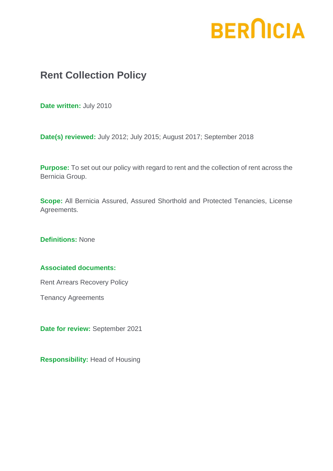# **BERNICIA**

# **Rent Collection Policy**

**Date written:** July 2010

**Date(s) reviewed:** July 2012; July 2015; August 2017; September 2018

**Purpose:** To set out our policy with regard to rent and the collection of rent across the Bernicia Group.

**Scope:** All Bernicia Assured, Assured Shorthold and Protected Tenancies, License Agreements.

**Definitions:** None

## **Associated documents:**

Rent Arrears Recovery Policy

Tenancy Agreements

**Date for review:** September 2021

**Responsibility:** Head of Housing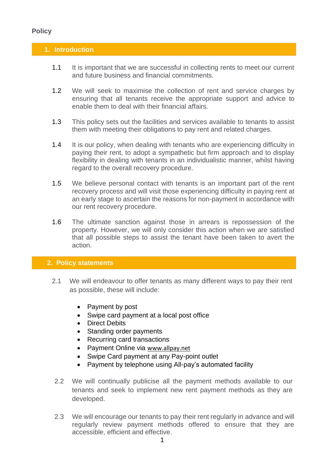# **Policy**

## **1. Introduction**

- 1.1 It is important that we are successful in collecting rents to meet our current and future business and financial commitments.
- 1.2 We will seek to maximise the collection of rent and service charges by ensuring that all tenants receive the appropriate support and advice to enable them to deal with their financial affairs.
- 1.3 This policy sets out the facilities and services available to tenants to assist them with meeting their obligations to pay rent and related charges.
- 1.4 It is our policy, when dealing with tenants who are experiencing difficulty in paying their rent, to adopt a sympathetic but firm approach and to display flexibility in dealing with tenants in an individualistic manner, whilst having regard to the overall recovery procedure.
- 1.5 We believe personal contact with tenants is an important part of the rent recovery process and will visit those experiencing difficulty in paying rent at an early stage to ascertain the reasons for non-payment in accordance with our rent recovery procedure.
- 1.6 The ultimate sanction against those in arrears is repossession of the property. However, we will only consider this action when we are satisfied that all possible steps to assist the tenant have been taken to avert the action.

#### **2. Policy statements**

- 2.1 We will endeavour to offer tenants as many different ways to pay their rent as possible, these will include:
	- Payment by post
	- Swipe card payment at a local post office
	- Direct Debits
	- Standing order payments
	- Recurring card transactions
	- Payment Online via [www.allpay.net](http://www.allpay.net/)
	- Swipe Card payment at any Pay-point outlet
	- Payment by telephone using All-pay's automated facility
	- 2.2 We will continually publicise all the payment methods available to our tenants and seek to implement new rent payment methods as they are developed.
- 2.3 We will encourage our tenants to pay their rent regularly in advance and will regularly review payment methods offered to ensure that they are accessible, efficient and effective.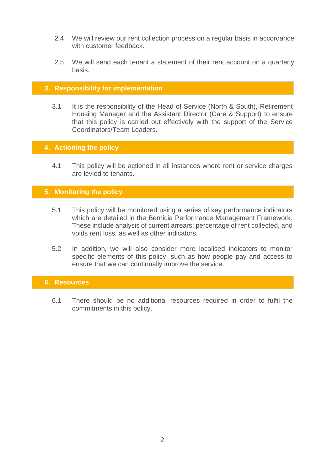- 2.4 We will review our rent collection process on a regular basis in accordance with customer feedback
- 2.5 We will send each tenant a statement of their rent account on a quarterly basis.

#### **3. Responsibility for implementation**

3.1 It is the responsibility of the Head of Service (North & South), Retirement Housing Manager and the Assistant Director (Care & Support) to ensure that this policy is carried out effectively with the support of the Service Coordinators/Team Leaders.

#### **4. Actioning the policy**

4.1 This policy will be actioned in all instances where rent or service charges are levied to tenants.

#### **5. Monitoring the policy**

- 5.1 This policy will be monitored using a series of key performance indicators which are detailed in the Bernicia Performance Management Framework. These include analysis of current arrears; percentage of rent collected, and voids rent loss, as well as other indicators.
- 5.2 In addition, we will also consider more localised indicators to monitor specific elements of this policy, such as how people pay and access to ensure that we can continually improve the service.

#### **6. Resources**

6.1 There should be no additional resources required in order to fulfil the commitments in this policy.